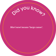#### *Mari nawi* means 'large canoe'.

Oid you know?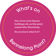## What'<sup>s</sup> <sup>o</sup><sup>n</sup>

One of our most famous buildings sits on this point named after Bennelong.

Do you know what it is?

Belong Points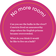Can you see the hulks in the river? Convicts lived on unseaworthy ships when the English prisons became overcrowded.

o more room

What do you think it would be like to live on a hulk?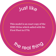#### Jus<sup>t</sup> <sup>l</sup>ik<sup>e</sup>

This model is an exact copy of the HMS *Sirius* which sailed with the First Fleet in 1770.

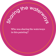#### Who was sharing the waterways in this painting?

Sting the water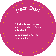## Dear Dad

John Septimus Roe wrote many letters to his father in England.

Do you write letters or send emails?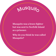#### M<sup>u</sup>squit<sup>o</sup>

Musquito was a brave fighter but was sent to Norfolk Island as a prisoner.

Why do you think he was called Musquito?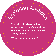This little ship took explorers to north Australia. Onboard was Galmarra, who was nick-named Jackey Jackey.

Ploring Australia

What is your nick-name?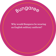### <sup>B</sup>ungare<sup>e</sup>

#### Why would Bungaree be wearing an English military uniform?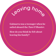Galmarra was a teenager when he sailed aboard the *Tam O'Shanter*. How do you think he felt about leaving his family?

edving home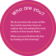# Who are you?

We do not know the name of this boy, but he may have been an orphan who was adopted by early settlers of New South Wales.

What can you tell about the boy by looking at this drawing?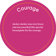#### Courage

Jackey Jackey was very brave and was awarded this special breastplate for his courage.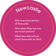## Newcast/e

This is an early picture of Newcastle.

How many ships can you see in this picture?

What does this tell you about Newcastle in 1813?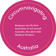# Cumnavigoring

Bungaree was the first Australian to sail around Australia. He sailed with Matthew Flinders.

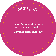#### Fitting in

Lewis guided white settlers to areas he knew about. Why is he dressed like this?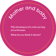This drawing is of a rock carving at La Perouse.

Mer and baby

What do you think it shows?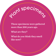These specimens were gathered more than 200 years ago.

**Plant speciments** 

What are they?

What do you think they smell like now?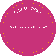## Corroboree

#### What is happening in this picture?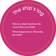# ine ship's log

This is a ship's log from the vessel *Mary and Sally*.

What happened on Thursday, the 25th?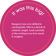## $\sqrt{10s}$  this  $b_{\alpha}$

Bungaree was very skilled in catching fish. This is a sketch of a fish he caught. Look carefully at the writing to see how much it weighed.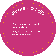This is where the crew sits in a whaleboat.

Where do I six

Can you see the boat steerer and the harpooner?